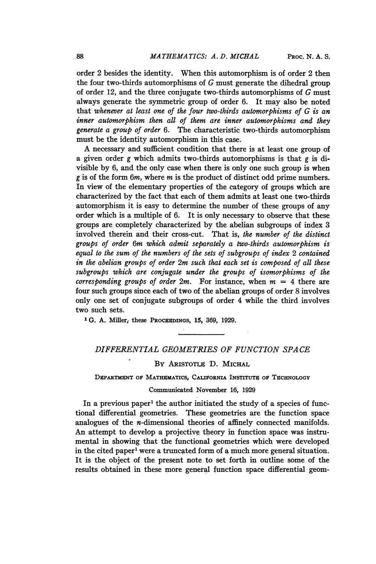order 2 besides the identity. When this automorphism is of order 2 then the four two-thirds automorphisms of G must generate the dihedral group of order 12, and the three conjugate two-thirds automorphisms of G must always generate the symmetric group of order 6. It may also be noted that whenever at least one of the four two-thirds automorphisms of  $G$  is an inner automorphism then all of them are inner automorphisms and they generate a group of order 6. The characteristic two-thirds automorphism must be the identity automorphism in this case.

A necessary and sufficient condition that there is at least one group of a given order g which admits two-thirds automorphisms is that g is divisible by 6, and the only case when there is only one such group is when g is of the form  $6m$ , where m is the product of distinct odd prime numbers. In view of the elementary properties of the category of groups which are characterized by the fact that each of them admits at least one two-thirds automorphism it is easy to determine the number of these groups of any order which is a multiple of 6. It is only necessary to observe that these groups are completely characterized by the abelian subgroups of index 3 involved therein and their cross-cut. That is, the number of the distinct groups of order 6m which admit separately a two-thirds automorphism is equal to the sum of the numbers of the sets of subgroups of index 2 contained in the abelian groups of order 2m such that each set is composed of all these subgroups which are conjugate under the groups of isomorphisms of the corresponding groups of order  $2m$ . For instance, when  $m = 4$  there are four such groups since each of two of the abelian groups of order 8 involves only one set of conjugate subgroups of order 4 while the third involves two such sets.

<sup>1</sup> G. A. Miller, these Procegnongs, 15, 369, 1929.

## DIFFERENTIAL GEOMETRIES OF FUNCTION SPACE

## BY ARISTOTLE D. MICHAL

DEPARTMENT OF MATHEMATICS, CALIFORNIA INSTITUTE OF TECHNOLOGY

## Communicated November 16, 1929

In a previous paper<sup>1</sup> the author initiated the study of a species of functional differential geometries. These geometries are the function space analogues of the n-dimensional theories of affinely connected manifolds. An attempt to develop a projective theory in function space was instrumental in showing that the functional geometries which were developed in the cited paper<sup>1</sup> were a truncated form of a much more general situation. It is the object of the present note to set forth in outline some of the results obtained in these more general function space differential geom-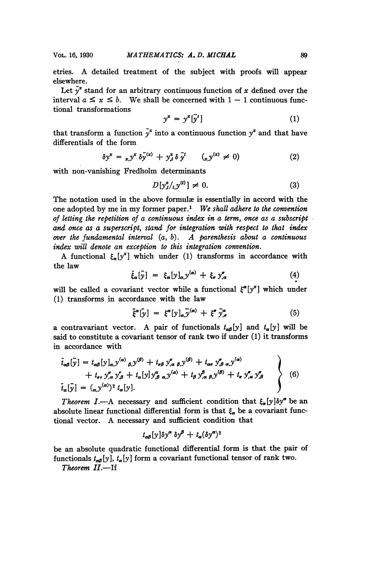etries. A detailed treatment of the subject with proofs will appear elsewhere.

Let  $y^x$  stand for an arbitrary continuous function of x defined over the interval  $a \leq x \leq b$ . We shall be concerned with  $1 - 1$  continuous functional transformations

$$
y^x = y^x[\bar{y}^s]
$$
 (1)

that transform a function  $\bar{y}^x$  into a continuous function  $y^x$  and that have differentials of the form

$$
\delta y^x = x_i y^x \delta y^{(x)} + y_i^x \delta y^{(x)} \quad (x_i y^{(x)} \neq 0)
$$
 (2)

with non-vanishing Fredholm determinants

$$
D[y_{.t}^* /_{t,0}^{\omega}] \neq 0. \tag{3}
$$

The notation used in the above formule is essentially in accord with the one adopted by me in my former paper.' We shall adhere to the convention of letting the repetition of a continuous index in a term, once as a subscript and once as a superscript, stand for integration with respect to that index over the fundamental interval  $(a, b)$ . A parenthesis about a continuous index will denote an exception to this integration convention.

A functional  $\xi_{\alpha}[y^*]$  which under (1) transforms in accordance with the law

$$
\bar{\xi}_{\alpha}[\bar{y}] = \xi_{\alpha}[y]_{\alpha,\mathcal{Y}}^{(\alpha)} + \xi_{\sigma} y_{,\alpha}^{\sigma} \tag{4}
$$

will be called a covariant vector while a functional  $\xi^{\alpha}[y^x]$  which under (1) transforms in accordance with the law

\n
$$
\bar{\xi}^{\alpha}[\bar{y}] = \xi^{\alpha}[y]_{\alpha} \bar{y}^{(\alpha)} + \xi^{\sigma} \bar{y}^{\alpha}_{,\sigma}
$$
\n

\n\n (5)\n

a contravariant vector. A pair of functionals  $t_{\alpha\beta}[y]$  and  $t_{\alpha}[y]$  will be said to constitute a covariant tensor of rank two if under (1) it transforms in accordance with

not to construct a covariant tensor of rank two in under (1) it transform  
\n
$$
\vec{t}_{\alpha\beta}[\vec{y}] = t_{\alpha\beta}[y]_{\alpha,\mathcal{Y}}^{(\alpha)}{}_{\beta,\mathcal{Y}}^{(\beta)} + t_{\sigma\beta}y_{,\alpha,\beta,\mathcal{Y}}^{(\beta)} + t_{\alpha\sigma}y_{,\beta,\alpha,\mathcal{Y}}^{(\alpha)} + t_{\sigma\tau}y_{,\alpha}^{\sigma}y_{,\beta}^{\tau} + t_{\alpha}[y]y_{,\beta,\alpha,\mathcal{Y}}^{(\alpha)} + t_{\beta}y_{,\alpha,\beta,\mathcal{Y}}^{(\beta)} + t_{\sigma}y_{,\alpha}^{\sigma}y_{,\beta}^{\sigma}
$$
\n
$$
\vec{t}_{\alpha}[\vec{y}] = (_{\alpha,\mathcal{Y}}^{(\alpha)})^2 t_{\alpha}[y].
$$
\n(6)

Theorem I.—A necessary and sufficient condition that  $\xi_{\alpha}[y]\delta y^{\alpha}$  be an absolute linear functional differential form is that  $\xi_{\alpha}$  be a covariant functional vector. A necessary and sufficient condition that

$$
t_{\alpha\beta}[y]\delta y^{\alpha} \delta y^{\beta} + t_{\alpha}(\delta y^{\alpha})^2
$$

be an absolute quadratic functional differential form is that the pair of functionals  $t_{\alpha\beta}[y]$ ,  $t_{\alpha}[y]$  form a covariant functional tensor of rank two.

 $Theorem II. -If$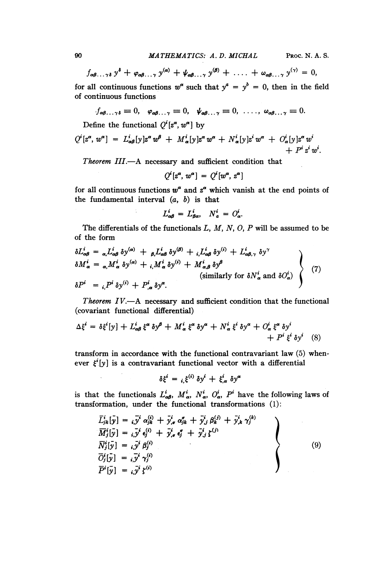$f_{\alpha\beta\ldots\gamma\delta} y^{\delta} + \varphi_{\alpha\beta\ldots\gamma} y^{(\alpha)} + \psi_{\alpha\beta\ldots\gamma} y^{(\beta)} + \ldots + \omega_{\alpha\beta\ldots\gamma} y^{(\gamma)} = 0,$ for all continuous functions  $w^{\alpha}$  such that  $y^{\alpha} = y^{\dot{b}} = 0$ , then in the field of continuous functions

$$
f_{\alpha\beta\ldots\gamma\delta}\equiv 0, \quad \varphi_{\alpha\beta\ldots\gamma}\equiv 0, \quad \psi_{\alpha\beta\ldots\gamma}\equiv 0, \quad \ldots, \quad \omega_{\alpha\beta\ldots\gamma}\equiv 0.
$$

Define the functional  $Q^{i}[z^{\alpha}, w^{\alpha}]$  by

$$
Q^{i}[z^{\alpha}, w^{\alpha}] = L^{i}_{\alpha\beta}[y]z^{\alpha}w^{\beta} + M^{i}_{\alpha}[y]z^{\alpha}w^{\alpha} + N^{i}_{\alpha}[y]z^{i}w^{\alpha} + O^{i}_{\alpha}[y]z^{\alpha}w^{i} + P^{i}_{\alpha}z^{i}w^{i}.
$$

Theorem  $III$ .  $-A$  necessary and sufficient condition that

$$
Q^i[z^{\alpha}, w^{\alpha}] = Q^i[w^{\alpha}, z^{\alpha}]
$$

for all continuous functions  $w^{\alpha}$  and  $z^{\alpha}$  which vanish at the end points of the fundamental interval  $(a, b)$  is that

 $L_{\alpha\beta}^i = L_{\beta\alpha}^i, \quad N_a^i = O_{\alpha}^i.$ 

The differentials of the functionals  $L, M, N, O, P$  will be assumed to be of the form

$$
\delta L_{\alpha\beta}^{i} = \sum_{\alpha, \beta} L_{\alpha\beta}^{i} \delta y^{(\alpha)} + \sum_{\beta, \beta, \beta} L_{\alpha\beta}^{i} \delta y^{(\beta)} + \sum_{\alpha, \beta, \gamma} L_{\alpha\beta}^{i} \delta y^{(\beta)} + L_{\alpha\beta, \gamma}^{i} \delta y^{\gamma}
$$
\n
$$
\delta M_{\alpha}^{i} = \sum_{\alpha, \beta, \beta} M_{\alpha}^{i} \delta y^{(\alpha)} + \sum_{i, \beta, \beta, \beta} M_{\alpha}^{i} \delta y^{(\beta)} + M_{\alpha, \beta}^{i} \delta y^{\beta}
$$
\n(similarly for  $\delta N_{\alpha}^{i}$  and  $\delta O_{\alpha}^{i}$ )

\n
$$
\delta P^{i} = \sum_{i, \beta, \beta} L_{\beta}^{i} \delta y^{(i)} + P_{\beta}^{i} \delta y^{\alpha}.
$$

Theorem  $IV. \rightarrow A$  necessary and sufficient condition that the functional (covariant functional differential)

$$
\Delta \xi^{i} = \delta \xi^{i} [y] + L_{\alpha\beta}^{i} \xi^{\alpha} \delta y^{\beta} + M_{\alpha}^{i} \xi^{\alpha} \delta y^{\alpha} + N_{\alpha}^{i} \xi^{i} \delta y^{\alpha} + O_{\alpha}^{i} \xi^{\alpha} \delta y^{i} + P^{i} \xi^{i} \delta y^{i} \quad (8)
$$

transform in accordance with the functional contravariant law (5) whenever  $\xi^i[y]$  is a contravariant functional vector with a differential

$$
\delta \xi^i = \, _{i,} \xi^{(i)} \, \delta y^i \, + \, \xi^i_{,\alpha} \, \delta y^{\alpha}
$$

is that the functionals  $L_{\alpha\beta}^i$ ,  $M_{\alpha}^i$ ,  $N_{\alpha}^i$ ,  $O_{\alpha}^i$ ,  $P^i$  have the following laws of transformation, under the functional transformations (1):

$$
\overline{L}_{jk}^{i}[\bar{y}] = {}_{i}\overline{y}^{i} \alpha_{jk}^{(i)} + \overline{y}^{i}_{,\sigma} \alpha_{jk}^{e} + \overline{y}^{i}_{,\sigma} \beta_{k}^{(j)} + \overline{y}^{i}_{,\sigma} \gamma_{j}^{(k)} \n\overline{M}_{j}^{i}[\bar{y}] = {}_{i}\overline{y}^{i} \epsilon_{j}^{(i)} + \overline{y}^{i}_{,\sigma} \epsilon_{j}^{e} + \overline{y}^{i}_{,\sigma} \xi^{(j)} \n\overline{N}_{j}^{i}[\bar{y}] = {}_{i}\overline{y}^{i} \beta_{j}^{(i)} \n\overline{D}_{j}^{i}[\bar{y}] = {}_{i}\overline{y}^{i} \gamma_{j}^{(i)} \n\overline{P}^{i}[\bar{y}] = {}_{i}\overline{y}^{i} \xi^{(i)}
$$
\n(9)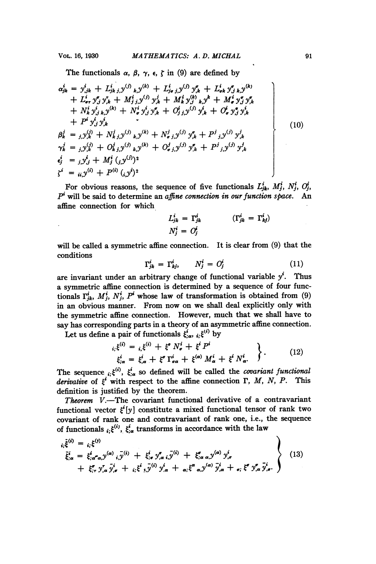The functionals  $\alpha$ ,  $\beta$ ,  $\gamma$ ,  $\epsilon$ ,  $\zeta$  in (9) are defined by

$$
\alpha_{jk}^{i} = y_{jk}^{i} + L_{jk\,j}^{i} y_{jk}^{(j)} + L_{j\sigma\,j}^{i} y_{jk}^{(j)} + L_{\sigma k}^{i} y_{,j\,k}^{a} y_{,k}^{(k)}
$$
\n
$$
+ L_{\sigma r}^{i} y_{,j}^{r} y_{,k}^{r} + M_{j\,j}^{i} y_{,j}^{(j)} y_{,k}^{i} + M_{k}^{i} y_{,j}^{(j)} y_{,k}^{k} + M_{\sigma}^{i} y_{,j}^{r} y_{,k}^{r}
$$
\n
$$
+ N_{k}^{i} y_{,j\,k}^{i} y_{,k}^{(k)} + N_{\sigma}^{i} y_{,j}^{i} y_{,k}^{r} + O_{j\,j}^{i} y_{,j}^{(j)} y_{,k}^{i} + O_{\sigma}^{i} y_{,j}^{r} y_{,k}^{r}
$$
\n
$$
+ P^{i} y_{,j}^{i} y_{,k}^{i}
$$
\n
$$
\beta_{k}^{j} = y_{,j}^{(j)} + N_{k\,j}^{j} y_{,k}^{(j)} y_{,k}^{(k)} + N_{\sigma\,j}^{j} y_{,j}^{(j)} y_{,k}^{r} + P^{j} y_{,j}^{(j)} y_{,k}^{j}
$$
\n
$$
\gamma_{k}^{j} = y_{,j}^{(j)} + O_{k\,j}^{j} y_{,k}^{(j)} y_{,k}^{(k)} + O_{\sigma\,j}^{j} y_{,j}^{(j)} y_{,k}^{r} + P^{j} y_{,j}^{(j)} y_{,k}^{j}
$$
\n
$$
\epsilon_{j}^{i} = y_{,j}^{i} y_{,j}^{i} + M_{j}^{i} (y_{,j}^{(j)})^{2}
$$
\n
$$
\zeta_{j}^{i} = u_{j} y_{,j}^{(i)} + P^{(i)} (y_{,j}^{i})^{2}
$$
\n(10)

For obvious reasons, the sequence of five functionals  $L_{jk}^i$ ,  $M_j^i$ ,  $N_j^i$ ,  $O_j^i$ ,  $P<sup>i</sup>$  will be said to determine an affine connection in our function space. An affine connection for which

$$
L_{jk}^{i} = \Gamma_{jk}^{i}
$$
 
$$
(\Gamma_{jk}^{i} = \Gamma_{kj}^{i})
$$

$$
N_{j}^{i} = O_{j}^{i}
$$

will be called a symmetric affine connection. It is clear from (9) that the<br>
conditions<br>  $\Gamma_{jk}^i = \Gamma_{kj}^i, \qquad N_j^i = O_j^i$  (11)<br>  $\Gamma_{j,k}^i = \Gamma_{j}^i$  (11) conditions

$$
\Gamma_{jk}^i = \Gamma_{kj}^i, \qquad N_j^i = O_j^i \tag{11}
$$

are invariant under an arbitrary change of functional variable  $y^i$ . Thus a symmetric affine connection is determined by a sequence of four functionals  $\Gamma_{ik}^{i}$ ,  $M_{j}^{i}$ ,  $N_{j}^{i}$ ,  $P^{i}$  whose law of transformation is obtained from (9) in an obvious manner. From now on we shall deal explicitly only with the symmetric affine connection. However, much that we shall have to say has corresponding parts in a theory of an asymmetric affine connection.

Let us define a pair of functionals  $\xi^i_{;\alpha}, i, \xi^{(i)}$  by

$$
\begin{aligned}\n\dot{\xi}_{;\alpha}^{(i)} &= \xi_{,\xi}^{(i)} + \xi^{\sigma} N_{\sigma}^{i} + \xi^{i} P^{i} \\
\dot{\xi}_{;\alpha}^{i} &= \xi_{,\alpha}^{i} + \xi^{\sigma} \Gamma_{\sigma\alpha}^{i} + \xi^{(\alpha)} M_{\alpha}^{i} + \xi^{i} N_{\alpha}^{i}.\n\end{aligned}\n\bigg\}.
$$
\n(12)

The sequence  $i_k \xi^{(i)}$ ,  $\xi_{i\alpha}^i$  so defined will be called the *covariant functional* derivative of  $\xi^i$  with respect to the affine connection  $\Gamma$ , M, N, P. This definition is justified by the theorem.

Theorem  $V$ .-The covariant functional derivative of a contravariant functional vector  $\xi^{i}[y]$  constitute a mixed functional tensor of rank two covariant of rank one and contravariant of rank one, i.e., the sequence of functionals  $i, \xi^{(i)}$ ,  $\xi_{i\alpha}^{i}$  transforms in accordance with the law

$$
i_{\vec{i}}\tilde{\xi}^{(i)} = i_{\vec{i}}\xi^{(i)}
$$
  
\n
$$
\tilde{\xi}^{i}_{;\alpha} = \xi^{i}_{;\alpha^{*}\alpha, y^{(\alpha)}} i_{\cdot} \bar{y}^{(i)} + \xi^{i}_{;\sigma} y^{*}_{,\alpha} i_{\cdot} \bar{y}^{(i)} + \xi^{*}_{;\alpha} \alpha_{\cdot} y^{(\alpha)} y^{i}_{,\sigma}
$$
  
\n
$$
+ \xi^{*}_{;\tau} y^{*}_{,\alpha} \bar{y}^{i}_{,\sigma} + i_{\cdot} \xi^{i} \bar{y}^{(i)} y^{i}_{,\alpha} + \alpha_{\cdot} \xi^{\alpha} \alpha_{\cdot} y^{(\alpha)} \bar{y}^{i}_{,\alpha} + \sigma_{\cdot} \xi^{\sigma} y^{*}_{,\alpha} \bar{y}^{i}_{,\sigma}.
$$
\n(13)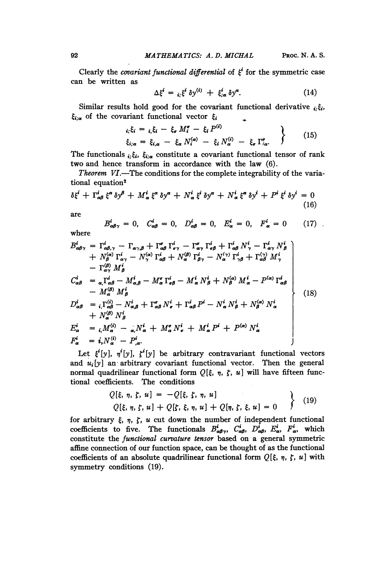Clearly the *covariant functional differential* of  $\xi^{i}$  for the symmetric case can be written as

$$
\Delta \xi^i = \, _{i;} \xi^i \, \delta y^{(i)} \, + \, \xi^i_{;\alpha} \, \delta y^{\alpha}.\tag{14}
$$

Similar results hold good for the covariant functional derivative  $i, \xi_i$ ,  $\xi_{i;\alpha}$  of the covariant functional vector  $\xi_i$ ÷

$$
i_i \xi_i = i_i \xi_i - \xi_\sigma M_i^\sigma - \xi_i P^{(i)}
$$
  
\n
$$
\xi_{i;\alpha} = \xi_{i,\alpha} - \xi_\alpha N_i^{(\alpha)} - \xi_i N_\alpha^{(i)} - \xi_\sigma \Gamma_{i\alpha}^\sigma.
$$
 (15)

The functionals  $i, \xi_i$ ,  $\xi_{i;\alpha}$  constitute a covariant functional tensor of rank two and hence transform in accordance with the law (6).

*Theorem VI.*—The conditions for the complete integrability of the variational equation<sup>2</sup>

$$
\delta \xi^{i} + \Gamma^{i}_{\alpha\beta} \xi^{\alpha} \delta y^{\beta} + M^{i}_{\alpha} \xi^{\alpha} \delta y^{\alpha} + N^{i}_{\alpha} \xi^{i} \delta y^{\alpha} + N^{i}_{\alpha} \xi^{\alpha} \delta y^{i} + P^{i} \xi^{i} \delta y^{i} = 0
$$
\n(16)

are

$$
B_{\alpha\beta\gamma}^i = 0, \quad C_{\alpha\beta}^i = 0, \quad D_{\alpha\beta}^i = 0, \quad E_{\alpha}^i = 0, \quad F_{\alpha}^i = 0 \tag{17}
$$

where

$$
B_{\alpha\beta\gamma}^{i} = \Gamma_{\alpha\beta,\gamma}^{i} - \Gamma_{\alpha\gamma,\beta} + \Gamma_{\alpha\beta}^{\sigma} \Gamma_{\sigma\gamma}^{i} - \Gamma_{\alpha\gamma}^{\sigma} \Gamma_{\sigma\beta}^{i} + \Gamma_{\alpha\beta}^{\prime} N_{\gamma}^{i} - \Gamma_{\alpha\gamma}^{\prime} N_{\beta}^{i} + N_{\beta}^{(\alpha)} \Gamma_{\alpha\gamma}^{i} - N_{\gamma}^{(\alpha)} \Gamma_{\alpha\beta}^{i} + N_{\alpha}^{(\beta)} \Gamma_{\beta\gamma}^{i} - N_{\alpha}^{(\gamma)} \Gamma_{\gamma\beta}^{i} + \Gamma_{\alpha\beta}^{(\gamma)} M_{\gamma}^{i} - \Gamma_{\alpha\gamma}^{\alpha} M_{\beta}^{i} C_{\alpha\beta}^{i} = \sum_{\alpha} \Gamma_{\alpha\beta}^{i} - M_{\alpha,\beta}^{i} - M_{\alpha}^{\sigma} \Gamma_{\sigma\beta}^{i} - M_{\alpha}^{i} N_{\beta}^{i} + N_{\beta}^{(\alpha)} M_{\alpha}^{i} - P^{(\alpha)} \Gamma_{\alpha\beta}^{i} - M_{\alpha}^{(\beta)} M_{\beta}^{i} D_{\alpha\beta}^{i} = i \Gamma_{\alpha\beta}^{(i)} - N_{\alpha,\beta}^{i} + \Gamma_{\alpha\beta}^{\sigma} N_{\sigma}^{i} + \Gamma_{\alpha\beta}^{i} P^{i} - N_{\alpha}^{i} N_{\beta}^{i} + N_{\beta}^{(\alpha)} N_{\alpha}^{i} + N_{\alpha}^{(\alpha)} N_{\beta}^{i} E_{\alpha}^{i} = i \Gamma_{\alpha\beta}^{(i)} - \sum_{\alpha} N_{\alpha}^{i} + M_{\alpha}^{\sigma} N_{\sigma}^{i} + M_{\alpha}^{i} P^{i} + P^{(\alpha)} N_{\alpha}^{i}
$$
(18)

Let  $\xi^{i}[y]$ ,  $\eta^{i}[y]$ ,  $\zeta^{i}[y]$  be arbitrary contravariant functional vectors and  $u_i[y]$  an arbitrary covariant functional vector. Then the general normal quadrilinear functional form  $Q[\xi, \eta, \zeta, u]$  will have fifteen functional coefficients. The conditions

$$
Q[\xi, \eta, \zeta, u] = -Q[\xi, \zeta, \eta, u]
$$
  
Q[\xi, \eta, \zeta, u] + Q[\zeta, \xi, \eta, u] + Q[\eta, \zeta, \xi, u] = 0 (19)

for arbitrary  $\xi$ ,  $\eta$ ,  $\zeta$ ,  $u$  cut down the number of independent functional coefficients to five. The functionals  $B_{\alpha\beta\gamma}^i$ ,  $C_{\alpha\beta}^i$ ,  $D_{\alpha\beta}^i$ ,  $E_{\alpha}^i$ ,  $F_{\alpha}^i$ , which constitute the functional curvature tensor based on a general symmetric affine connection of our function space, can be thought of as the functional coefficients of an absolute quadrilinear functional form  $Q[\xi, \eta, \zeta, u]$  with symmetry conditions (19).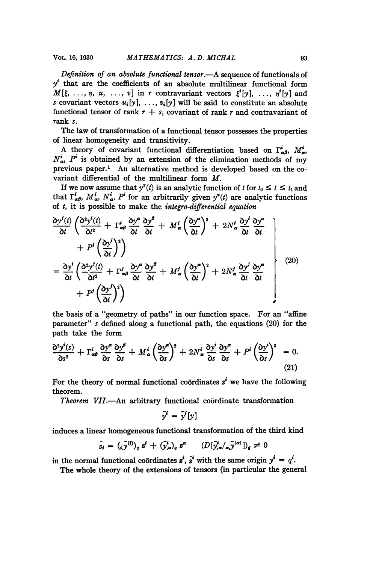Definition of an absolute functional tensor.—A sequence of functionals of  $y<sup>i</sup>$  that are the coefficients of an absolute multilinear functional form  $M[\xi, \ldots, \eta, u, \ldots, v]$  in r contravariant vectors  $\xi^{i}[y], \ldots, \eta^{i}[y]$  and s covariant vectors  $u_i[y], \ldots, v_i[y]$  will be said to constitute an absolute functional tensor of rank  $r + s$ , covariant of rank r and contravariant of rank s.

The law of transformation of a functional tensor possesses the properties of linear homogeneity and transitivity.

A theory of covariant functional differentiation based on  $\Gamma^i_{\alpha\beta}$ ,  $M^i_{\alpha}$ ,  $N_a^i$ ,  $P^i$  is obtained by an extension of the elimination methods of my previous paper.' An alternative method is developed based on the covariant differential of the multilinear form M.

If we now assume that  $y^*(t)$  is an analytic function of t for  $t_0 \leq t \leq t_1$  and that  $\Gamma^i_{\alpha\beta}$ ,  $M^i_{\alpha}$ ,  $N^i_{\alpha}$ ,  $P^i$  for an arbitrarily given  $y^x(t)$  are analytic functions of  $t$ , it is possible to make the *integro-differential equation* 

$$
\frac{\partial y^{j}(t)}{\partial t} \left( \frac{\partial^{2} y^{i}(t)}{\partial t^{2}} + \Gamma^{i}_{\alpha\beta} \frac{\partial y^{\alpha}}{\partial t} \frac{\partial y^{\beta}}{\partial t} + M^{i}_{\alpha} \left( \frac{\partial y^{\alpha}}{\partial t} \right)^{2} + 2 N^{i}_{\alpha} \frac{\partial y^{i}}{\partial t} \frac{\partial y^{\alpha}}{\partial t} + P^{i} \left( \frac{\partial y^{i}}{\partial t} \right)^{2} \right)
$$
\n
$$
= \frac{\partial y^{i}}{\partial t} \left( \frac{\partial^{2} y^{j}(t)}{\partial t^{2}} + \Gamma^{j}_{\alpha\beta} \frac{\partial y^{\alpha}}{\partial t} \frac{\partial y^{\beta}}{\partial t} + M^{j}_{\alpha} \left( \frac{\partial y^{\alpha}}{\partial t} \right)^{2} + 2 N^{j}_{\alpha} \frac{\partial y^{j}}{\partial t} \frac{\partial y^{\alpha}}{\partial t} + P^{j} \left( \frac{\partial y^{j}}{\partial t} \right)^{2} \right)
$$
\n
$$
+ P^{j} \left( \frac{\partial y^{j}}{\partial t} \right)^{2} \right)
$$
\n(20)

the basis of a "geometry of paths" in our function space. For an "affine parameter" s defined along a functional path, the equations (20) for the path take the form

path take the form  
\n
$$
\frac{\partial^2 y^i(s)}{\partial s^2} + \Gamma^i_{\alpha\beta} \frac{\partial y^{\alpha}}{\partial s} \frac{\partial y^{\beta}}{\partial s} + M^i_{\alpha} \left(\frac{\partial y^{\alpha}}{\partial s}\right)^2 + 2N^i_{\alpha} \frac{\partial y^i}{\partial s} \frac{\partial y^{\alpha}}{\partial s} + P^i \left(\frac{\partial y^i}{\partial s}\right)^2 = 0.
$$
\n(21)

For the theory of normal functional coordinates  $z^i$  we have the following theorem.

Theorem VII.-An arbitrary functional coördinate transformation

$$
\bar{y}^i = \bar{y}^i[y]
$$

induces a linear homogeneous functional transformation of the third kind

$$
\bar{z}_i = (i \bar{y}^{(i)})_q z^i + (\bar{y}^i_{,\alpha})_q z^{\alpha} \qquad (D[\bar{y}^i_{,\alpha}/\alpha, \bar{y}^{(\alpha)})_q \neq 0
$$

in the normal functional coördinates  $\vec{z}^i$ ,  $\vec{z}^i$  with the same origin  $y^i = q^i$ .

The whole theory of the extensions of tensors (in particular the general